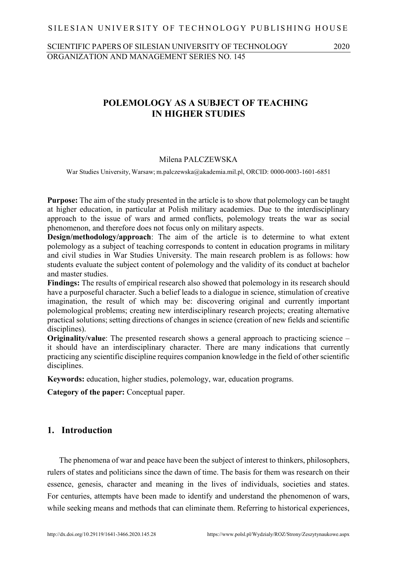### SILESIAN UNIVERSITY OF TECHNOLOGY PUBLISHING HOUSE

### SCIENTIFIC PAPERS OF SILESIAN UNIVERSITY OF TECHNOLOGY 2020 ORGANIZATION AND MANAGEMENT SERIES NO. 145

# 1 **POLEMOLOGY AS A SUBJECT OF TEACHING**  2 **IN HIGHER STUDIES**

#### 3 Milena PALCZEWSKA

4 War Studies University, Warsaw; m.palczewska@akademia.mil.pl, ORCID: 0000-0003-1601-6851

**Purpose:** The aim of the study presented in the article is to show that polemology can be taught at higher education, in particular at Polish military academies. Due to the interdisciplinary approach to the issue of wars and armed conflicts, polemology treats the war as social phenomenon, and therefore does not focus only on military aspects.

**Design/methodology/approach**: The aim of the article is to determine to what extent 10 polemology as a subject of teaching corresponds to content in education programs in military and civil studies in War Studies University. The main research problem is as follows: how students evaluate the subject content of polemology and the validity of its conduct at bachelor and master studies.

Findings: The results of empirical research also showed that polemology in its research should have a purposeful character. Such a belief leads to a dialogue in science, stimulation of creative imagination, the result of which may be: discovering original and currently important 17 polemological problems; creating new interdisciplinary research projects; creating alternative practical solutions; setting directions of changes in science (creation of new fields and scientific disciplines).

**Originality/value**: The presented research shows a general approach to practicing science – it should have an interdisciplinary character. There are many indications that currently 22 practicing any scientific discipline requires companion knowledge in the field of other scientific disciplines.

**Keywords:** education, higher studies, polemology, war, education programs.

25 **Category of the paper:** Conceptual paper.

# 26 **1. Introduction**

The phenomena of war and peace have been the subject of interest to thinkers, philosophers, rulers of states and politicians since the dawn of time. The basis for them was research on their essence, genesis, character and meaning in the lives of individuals, societies and states. For centuries, attempts have been made to identify and understand the phenomenon of wars, while seeking means and methods that can eliminate them. Referring to historical experiences,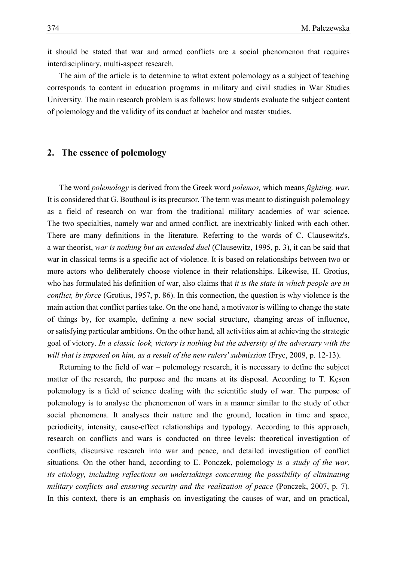it should be stated that war and armed conflicts are a social phenomenon that requires interdisciplinary, multi-aspect research.

The aim of the article is to determine to what extent polemology as a subject of teaching corresponds to content in education programs in military and civil studies in War Studies University. The main research problem is as follows: how students evaluate the subject content of polemology and the validity of its conduct at bachelor and master studies.

### 7 **2. The essence of polemology**

8 The word *polemology* is derived from the Greek word *polemos,* which means *fighting, war*. It is considered that G. Bouthoul is its precursor. The term was meant to distinguish polemology as a field of research on war from the traditional military academies of war science. 11 The two specialties, namely war and armed conflict, are inextricably linked with each other. There are many definitions in the literature. Referring to the words of C. Clausewitz's, 13 a war theorist, *war is nothing but an extended duel* (Clausewitz, 1995, p. 3), it can be said that war in classical terms is a specific act of violence. It is based on relationships between two or more actors who deliberately choose violence in their relationships. Likewise, H. Grotius, who has formulated his definition of war, also claims that *it is the state in which people are in* 17 *conflict, by force* (Grotius, 1957, p. 86). In this connection, the question is why violence is the main action that conflict parties take. On the one hand, a motivator is willing to change the state 19 of things by, for example, defining a new social structure, changing areas of influence, 20 or satisfying particular ambitions. On the other hand, all activities aim at achieving the strategic 21 goal of victory. *In a classic look, victory is nothing but the adversity of the adversary with the*  will that is imposed on him, as a result of the new rulers' submission (Fryc, 2009, p. 12-13).

Returning to the field of war – polemology research, it is necessary to define the subject matter of the research, the purpose and the means at its disposal. According to T. Keson 25 polemology is a field of science dealing with the scientific study of war. The purpose of polemology is to analyse the phenomenon of wars in a manner similar to the study of other 27 social phenomena. It analyses their nature and the ground, location in time and space, periodicity, intensity, cause-effect relationships and typology. According to this approach, 29 research on conflicts and wars is conducted on three levels: theoretical investigation of 30 conflicts, discursive research into war and peace, and detailed investigation of conflict situations. On the other hand, according to E. Ponczek, polemology *is a study of the war*, 32 *its etiology, including reflections on undertakings concerning the possibility of eliminating*  33 *military conflicts and ensuring security and the realization of peace* (Ponczek, 2007, p. 7)*.* In this context, there is an emphasis on investigating the causes of war, and on practical,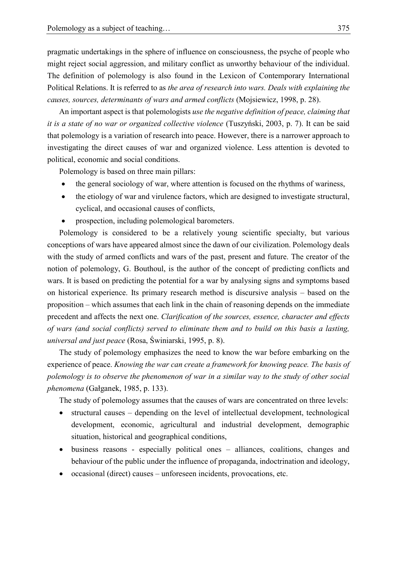pragmatic undertakings in the sphere of influence on consciousness, the psyche of people who might reject social aggression, and military conflict as unworthy behaviour of the individual. The definition of polemology is also found in the Lexicon of Contemporary International Political Relations. It is referred to as *the area of research into wars. Deals with explaining the causes, sources, determinants of wars and armed conflicts* (Mojsiewicz, 1998, p. 28).

6 An important aspect is that polemologists *use the negative definition of peace, claiming that*  7 *it is a state of no war or organized collective violence* (Tuszyński, 2003, p. 7). It can be said that polemology is a variation of research into peace. However, there is a narrower approach to investigating the direct causes of war and organized violence. Less attention is devoted to political, economic and social conditions.

Polemology is based on three main pillars:

- the general sociology of war, where attention is focused on the rhythms of wariness,
- the etiology of war and virulence factors, which are designed to investigate structural, cyclical, and occasional causes of conflicts,
- prospection, including polemological barometers.

 Polemology is considered to be a relatively young scientific specialty, but various conceptions of wars have appeared almost since the dawn of our civilization. Polemology deals with the study of armed conflicts and wars of the past, present and future. The creator of the notion of polemology, G. Bouthoul, is the author of the concept of predicting conflicts and wars. It is based on predicting the potential for a war by analysing signs and symptoms based on historical experience. Its primary research method is discursive analysis – based on the proposition – which assumes that each link in the chain of reasoning depends on the immediate precedent and affects the next one. *Clarification of the sources, essence, character and effects of wars (and social conflicts) served to eliminate them and to build on this basis a lasting, universal and just peace* (Rosa, Świniarski, 1995, p. 8).

The study of polemology emphasizes the need to know the war before embarking on the experience of peace. *Knowing the war can create a framework for knowing peace. The basis of polemology is to observe the phenomenon of war in a similar way to the study of other social phenomena* (Gałganek, 1985, p. 133).

The study of polemology assumes that the causes of wars are concentrated on three levels:

- structural causes depending on the level of intellectual development, technological development, economic, agricultural and industrial development, demographic situation, historical and geographical conditions,
- business reasons especially political ones alliances, coalitions, changes and behaviour of the public under the influence of propaganda, indoctrination and ideology,
- occasional (direct) causes unforeseen incidents, provocations, etc.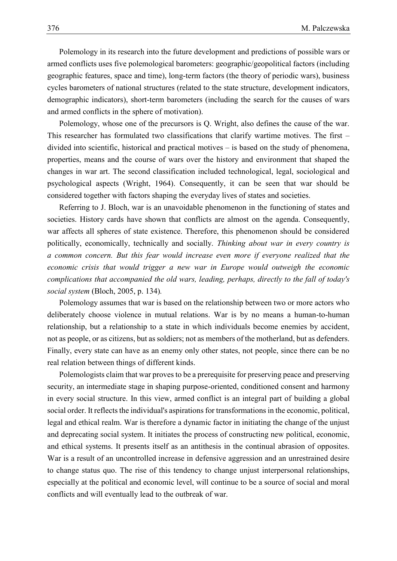Polemology in its research into the future development and predictions of possible wars or armed conflicts uses five polemological barometers: geographic/geopolitical factors (including geographic features, space and time), long-term factors (the theory of periodic wars), business cycles barometers of national structures (related to the state structure, development indicators, demographic indicators), short-term barometers (including the search for the causes of wars and armed conflicts in the sphere of motivation).

7 Polemology, whose one of the precursors is Q. Wright, also defines the cause of the war. This researcher has formulated two classifications that clarify wartime motives. The first – divided into scientific, historical and practical motives  $-$  is based on the study of phenomena, properties, means and the course of wars over the history and environment that shaped the 11 changes in war art. The second classification included technological, legal, sociological and 12 psychological aspects (Wright, 1964). Consequently, it can be seen that war should be 13 considered together with factors shaping the everyday lives of states and societies.

Referring to J. Bloch, war is an unavoidable phenomenon in the functioning of states and societies. History cards have shown that conflicts are almost on the agenda. Consequently, war affects all spheres of state existence. Therefore, this phenomenon should be considered 17 politically, economically, technically and socially. *Thinking about war in every country is*  a common concern. But this fear would increase even more if everyone realized that the 19 *economic crisis that would trigger a new war in Europe would outweigh the economic*  complications that accompanied the old wars, leading, perhaps, directly to the fall of today's 21 *social system* (Bloch, 2005, p. 134)*.*

Polemology assumes that war is based on the relationship between two or more actors who deliberately choose violence in mutual relations. War is by no means a human-to-human relationship, but a relationship to a state in which individuals become enemies by accident, not as people, or as citizens, but as soldiers; not as members of the motherland, but as defenders. Finally, every state can have as an enemy only other states, not people, since there can be no real relation between things of different kinds.

Polemologists claim that war proves to be a prerequisite for preserving peace and preserving 29 security, an intermediate stage in shaping purpose-oriented, conditioned consent and harmony in every social structure. In this view, armed conflict is an integral part of building a global social order. It reflects the individual's aspirations for transformations in the economic, political, legal and ethical realm. War is therefore a dynamic factor in initiating the change of the unjust and deprecating social system. It initiates the process of constructing new political, economic, and ethical systems. It presents itself as an antithesis in the continual abrasion of opposites. War is a result of an uncontrolled increase in defensive aggression and an unrestrained desire 36 to change status quo. The rise of this tendency to change unjust interpersonal relationships, 37 especially at the political and economic level, will continue to be a source of social and moral conflicts and will eventually lead to the outbreak of war.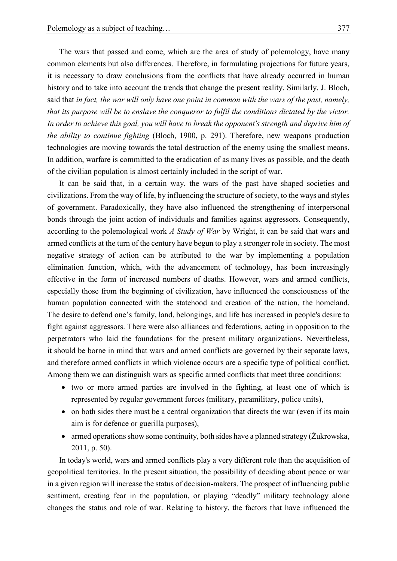The wars that passed and come, which are the area of study of polemology, have many 2 common elements but also differences. Therefore, in formulating projections for future years, it is necessary to draw conclusions from the conflicts that have already occurred in human history and to take into account the trends that change the present reality. Similarly, J. Bloch, 5 said that *in fact, the war will only have one point in common with the wars of the past, namely,*  6 *that its purpose will be to enslave the conqueror to fulfil the conditions dictated by the victor.*  7 *In order to achieve this goal, you will have to break the opponent's strength and deprive him of*  8 *the ability to continue fighting* (Bloch, 1900, p. 291). Therefore, new weapons production technologies are moving towards the total destruction of the enemy using the smallest means. In addition, warfare is committed to the eradication of as many lives as possible, and the death of the civilian population is almost certainly included in the script of war.

It can be said that, in a certain way, the wars of the past have shaped societies and 13 civilizations. From the way of life, by influencing the structure of society, to the ways and styles of government. Paradoxically, they have also influenced the strengthening of interpersonal bonds through the joint action of individuals and families against aggressors. Consequently, according to the polemological work *A Study of War* by Wright, it can be said that wars and armed conflicts at the turn of the century have begun to play a stronger role in society. The most negative strategy of action can be attributed to the war by implementing a population 19 elimination function, which, with the advancement of technology, has been increasingly effective in the form of increased numbers of deaths. However, wars and armed conflicts, 21 especially those from the beginning of civilization, have influenced the consciousness of the human population connected with the statehood and creation of the nation, the homeland. The desire to defend one's family, land, belongings, and life has increased in people's desire to 24 fight against aggressors. There were also alliances and federations, acting in opposition to the 25 perpetrators who laid the foundations for the present military organizations. Nevertheless, 26 it should be borne in mind that wars and armed conflicts are governed by their separate laws, and therefore armed conflicts in which violence occurs are a specific type of political conflict. Among them we can distinguish wars as specific armed conflicts that meet three conditions:

- two or more armed parties are involved in the fighting, at least one of which is represented by regular government forces (military, paramilitary, police units),
- on both sides there must be a central organization that directs the war (even if its main aim is for defence or guerilla purposes),
- armed operations show some continuity, both sides have a planned strategy (Żukrowska, 2011, p. 50).

In today's world, wars and armed conflicts play a very different role than the acquisition of geopolitical territories. In the present situation, the possibility of deciding about peace or war in a given region will increase the status of decision-makers. The prospect of influencing public sentiment, creating fear in the population, or playing "deadly" military technology alone 39 changes the status and role of war. Relating to history, the factors that have influenced the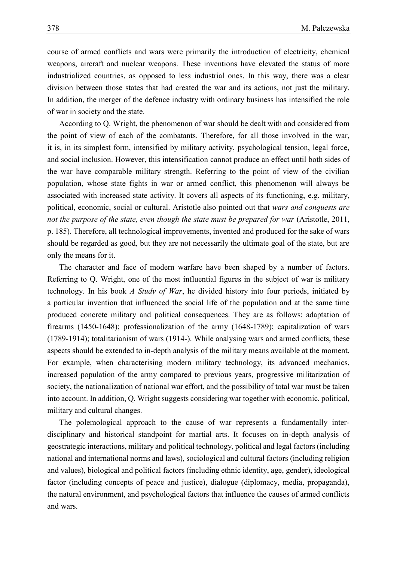1 course of armed conflicts and wars were primarily the introduction of electricity, chemical 2 weapons, aircraft and nuclear weapons. These inventions have elevated the status of more industrialized countries, as opposed to less industrial ones. In this way, there was a clear division between those states that had created the war and its actions, not just the military. 5 In addition, the merger of the defence industry with ordinary business has intensified the role of war in society and the state.

According to Q. Wright, the phenomenon of war should be dealt with and considered from the point of view of each of the combatants. Therefore, for all those involved in the war, it is, in its simplest form, intensified by military activity, psychological tension, legal force, and social inclusion. However, this intensification cannot produce an effect until both sides of the war have comparable military strength. Referring to the point of view of the civilian 12 population, whose state fights in war or armed conflict, this phenomenon will always be 13 associated with increased state activity. It covers all aspects of its functioning, e.g. military, 14 political, economic, social or cultural. Aristotle also pointed out that *wars and conquests are*  not the purpose of the state, even though the state must be prepared for war (Aristotle, 2011, 16 p. 185). Therefore, all technological improvements, invented and produced for the sake of wars should be regarded as good, but they are not necessarily the ultimate goal of the state, but are only the means for it.

The character and face of modern warfare have been shaped by a number of factors. Referring to Q. Wright, one of the most influential figures in the subject of war is military 21 technology. In his book *A Study of War*, he divided history into four periods, initiated by a particular invention that influenced the social life of the population and at the same time produced concrete military and political consequences. They are as follows: adaptation of firearms (1450-1648); professionalization of the army (1648-1789); capitalization of wars  $(1789-1914)$ ; totalitarianism of wars  $(1914)$ . While analysing wars and armed conflicts, these aspects should be extended to in-depth analysis of the military means available at the moment. 27 For example, when characterising modern military technology, its advanced mechanics, increased population of the army compared to previous years, progressive militarization of society, the nationalization of national war effort, and the possibility of total war must be taken 30 into account. In addition, Q. Wright suggests considering war together with economic, political, military and cultural changes.

The polemological approach to the cause of war represents a fundamentally interdisciplinary and historical standpoint for martial arts. It focuses on in-depth analysis of 34 geostrategic interactions, military and political technology, political and legal factors (including national and international norms and laws), sociological and cultural factors (including religion and values), biological and political factors (including ethnic identity, age, gender), ideological factor (including concepts of peace and justice), dialogue (diplomacy, media, propaganda), 38 the natural environment, and psychological factors that influence the causes of armed conflicts and wars.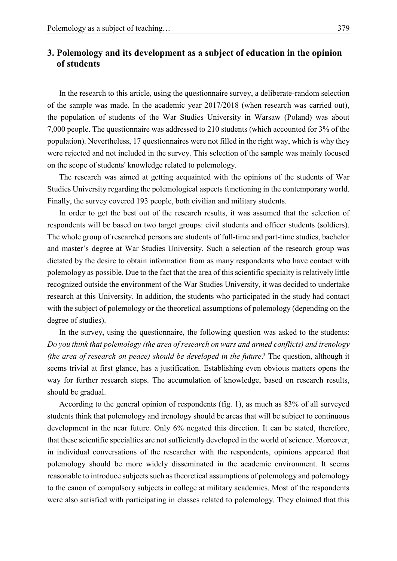# 1 **3. Polemology and its development as a subject of education in the opinion**  2 **of students**

In the research to this article, using the questionnaire survey, a deliberate-random selection of the sample was made. In the academic year  $2017/2018$  (when research was carried out), 5 the population of students of the War Studies University in Warsaw (Poland) was about 6 7,000 people. The questionnaire was addressed to 210 students (which accounted for 3% of the 7 population). Nevertheless, 17 questionnaires were not filled in the right way, which is why they were rejected and not included in the survey. This selection of the sample was mainly focused 9 on the scope of students' knowledge related to polemology.

The research was aimed at getting acquainted with the opinions of the students of War Studies University regarding the polemological aspects functioning in the contemporary world. 12 Finally, the survey covered 193 people, both civilian and military students.

In order to get the best out of the research results, it was assumed that the selection of respondents will be based on two target groups: civil students and officer students (soldiers). The whole group of researched persons are students of full-time and part-time studies, bachelor and master's degree at War Studies University. Such a selection of the research group was dictated by the desire to obtain information from as many respondents who have contact with polemology as possible. Due to the fact that the area of this scientific specialty is relatively little 19 recognized outside the environment of the War Studies University, it was decided to undertake research at this University. In addition, the students who participated in the study had contact with the subject of polemology or the theoretical assumptions of polemology (depending on the degree of studies).

In the survey, using the questionnaire, the following question was asked to the students: 24 *Do you think that polemology (the area of research on wars and armed conflicts) and irenology*  25 *(the area of research on peace) should be developed in the future?* The question, although it seems trivial at first glance, has a justification. Establishing even obvious matters opens the way for further research steps. The accumulation of knowledge, based on research results, should be gradual.

According to the general opinion of respondents (fig. 1), as much as 83% of all surveyed students think that polemology and irenology should be areas that will be subject to continuous development in the near future. Only 6% negated this direction. It can be stated, therefore, that these scientific specialties are not sufficiently developed in the world of science. Moreover, in individual conversations of the researcher with the respondents, opinions appeared that polemology should be more widely disseminated in the academic environment. It seems 35 reasonable to introduce subjects such astheoretical assumptions of polemology and polemology 36 to the canon of compulsory subjects in college at military academies. Most of the respondents were also satisfied with participating in classes related to polemology. They claimed that this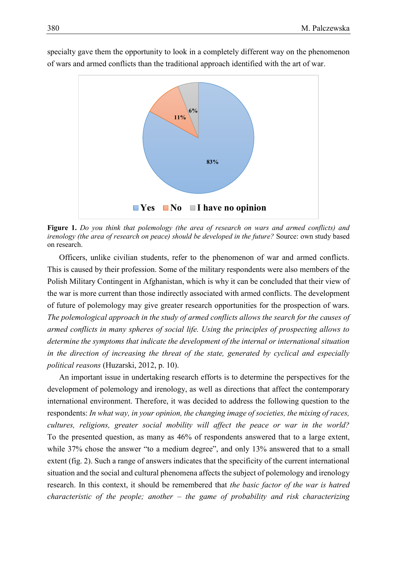

specialty gave them the opportunity to look in a completely different way on the phenomenon 2 of wars and armed conflicts than the traditional approach identified with the art of war.

4 **Figure 1.** *Do you think that polemology (the area of research on wars and armed conflicts) and*  5 *irenology (the area of research on peace) should be developed in the future?* Source: own study based on research.

7 Officers, unlike civilian students, refer to the phenomenon of war and armed conflicts. This is caused by their profession. Some of the military respondents were also members of the 9 Polish Military Contingent in Afghanistan, which is why it can be concluded that their view of the war is more current than those indirectly associated with armed conflicts. The development of future of polemology may give greater research opportunities for the prospection of wars. 12 *The polemological approach in the study of armed conflicts allows the search for the causes of*  13 *armed conflicts in many spheres of social life. Using the principles of prospecting allows to*  14 *determine the symptoms that indicate the development of the internal or international situation*  in the direction of increasing the threat of the state, generated by cyclical and especially 16 *political reasons* (Huzarski, 2012, p. 10).

An important issue in undertaking research efforts is to determine the perspectives for the development of polemology and irenology, as well as directions that affect the contemporary international environment. Therefore, it was decided to address the following question to the 20 respondents: *In what way, in your opinion, the changing image of societies, the mixing of races,*  21 *cultures, religions, greater social mobility will affect the peace or war in the world?*  22 To the presented question, as many as 46% of respondents answered that to a large extent, while 37% chose the answer "to a medium degree", and only 13% answered that to a small extent (fig. 2). Such a range of answers indicates that the specificity of the current international 25 situation and the social and cultural phenomena affects the subject of polemology and irenology 26 research. In this context, it should be remembered that *the basic factor of the war is hatred*  27 *characteristic of the people; another – the game of probability and risk characterizing*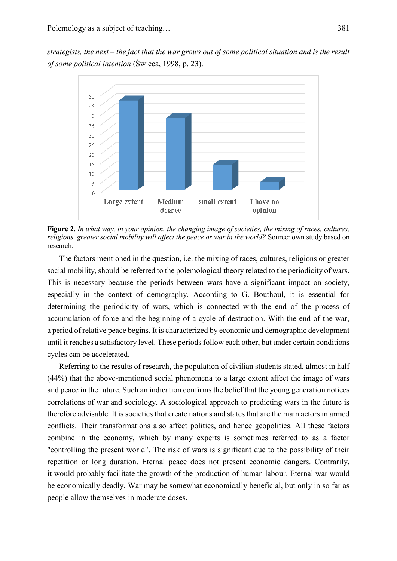1 *strategists, the next – the fact that the war grows out of some political situation and is the result*  2 *of some political intention* (Świeca, 1998, p. 23).



4 **Figure 2.** *In what way, in your opinion, the changing image of societies, the mixing of races, cultures,*  5 *religions, greater social mobility will affect the peace or war in the world?* Source: own study based on research.

7 The factors mentioned in the question, i.e. the mixing of races, cultures, religions or greater social mobility, should be referred to the polemological theory related to the periodicity of wars. This is necessary because the periods between wars have a significant impact on society, especially in the context of demography. According to G. Bouthoul, it is essential for determining the periodicity of wars, which is connected with the end of the process of accumulation of force and the beginning of a cycle of destruction. With the end of the war, a period of relative peace begins. It is characterized by economic and demographic development 14 until it reaches a satisfactory level. These periods follow each other, but under certain conditions cycles can be accelerated.

Referring to the results of research, the population of civilian students stated, almost in half 17 (44%) that the above-mentioned social phenomena to a large extent affect the image of wars and peace in the future. Such an indication confirms the belief that the young generation notices 19 correlations of war and sociology. A sociological approach to predicting wars in the future is 20 therefore advisable. It is societies that create nations and states that are the main actors in armed conflicts. Their transformations also affect politics, and hence geopolitics. All these factors combine in the economy, which by many experts is sometimes referred to as a factor "controlling the present world". The risk of wars is significant due to the possibility of their repetition or long duration. Eternal peace does not present economic dangers. Contrarily, it would probably facilitate the growth of the production of human labour. Eternal war would be economically deadly. War may be somewhat economically beneficial, but only in so far as people allow themselves in moderate doses.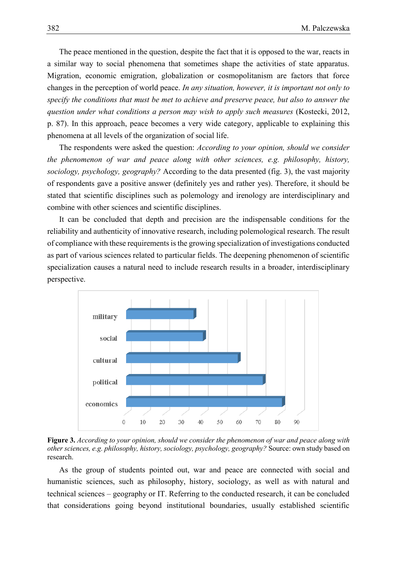The peace mentioned in the question, despite the fact that it is opposed to the war, reacts in 2 a similar way to social phenomena that sometimes shape the activities of state apparatus. Migration, economic emigration, globalization or cosmopolitanism are factors that force 4 changes in the perception of world peace. *In any situation, however, it is important not only to*  5 *specify the conditions that must be met to achieve and preserve peace, but also to answer the*  6 *question under what conditions a person may wish to apply such measures* (Kostecki, 2012, p. 87). In this approach, peace becomes a very wide category, applicable to explaining this phenomena at all levels of the organization of social life.

9 The respondents were asked the question: *According to your opinion, should we consider*  the phenomenon of war and peace along with other sciences, e.g. philosophy, history, 11 *sociology, psychology, geography?* According to the data presented (fig. 3), the vast majority 12 of respondents gave a positive answer (definitely yes and rather yes). Therefore, it should be stated that scientific disciplines such as polemology and irenology are interdisciplinary and combine with other sciences and scientific disciplines.

It can be concluded that depth and precision are the indispensable conditions for the 16 reliability and authenticity of innovative research, including polemological research. The result 17 of compliance with these requirements is the growing specialization of investigations conducted as part of various sciences related to particular fields. The deepening phenomenon of scientific 19 specialization causes a natural need to include research results in a broader, interdisciplinary perspective.



22 **Figure 3.** *According to your opinion, should we consider the phenomenon of war and peace along with*  23 *other sciences, e.g. philosophy, history, sociology, psychology, geography?* Source: own study based on research.

As the group of students pointed out, war and peace are connected with social and humanistic sciences, such as philosophy, history, sociology, as well as with natural and 27 technical sciences – geography or IT. Referring to the conducted research, it can be concluded 28 that considerations going beyond institutional boundaries, usually established scientific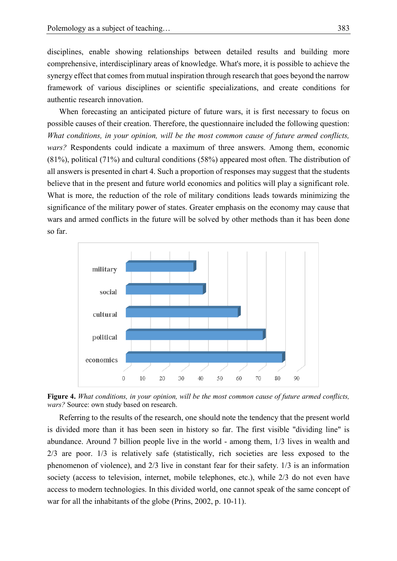disciplines, enable showing relationships between detailed results and building more 2 comprehensive, interdisciplinary areas of knowledge. What's more, it is possible to achieve the synergy effect that comes from mutual inspiration through research that goes beyond the narrow framework of various disciplines or scientific specializations, and create conditions for authentic research innovation.

When forecasting an anticipated picture of future wars, it is first necessary to focus on 7 possible causes of their creation. Therefore, the questionnaire included the following question: 8 *What conditions, in your opinion, will be the most common cause of future armed conflicts,*  wars? Respondents could indicate a maximum of three answers. Among them, economic  $(81\%)$ , political  $(71\%)$  and cultural conditions  $(58\%)$  appeared most often. The distribution of all answers is presented in chart 4. Such a proportion of responses may suggest that the students believe that in the present and future world economics and politics will play a significant role. What is more, the reduction of the role of military conditions leads towards minimizing the significance of the military power of states. Greater emphasis on the economy may cause that wars and armed conflicts in the future will be solved by other methods than it has been done so far.



18 **Figure 4.** *What conditions, in your opinion, will be the most common cause of future armed conflicts,*  wars? Source: own study based on research.

Referring to the results of the research, one should note the tendency that the present world is divided more than it has been seen in history so far. The first visible "dividing line" is 22 abundance. Around 7 billion people live in the world - among them, 1/3 lives in wealth and 23 2/3 are poor. 1/3 is relatively safe (statistically, rich societies are less exposed to the phenomenon of violence), and  $2/3$  live in constant fear for their safety.  $1/3$  is an information society (access to television, internet, mobile telephones, etc.), while 2/3 do not even have access to modern technologies. In this divided world, one cannot speak of the same concept of war for all the inhabitants of the globe (Prins, 2002, p. 10-11).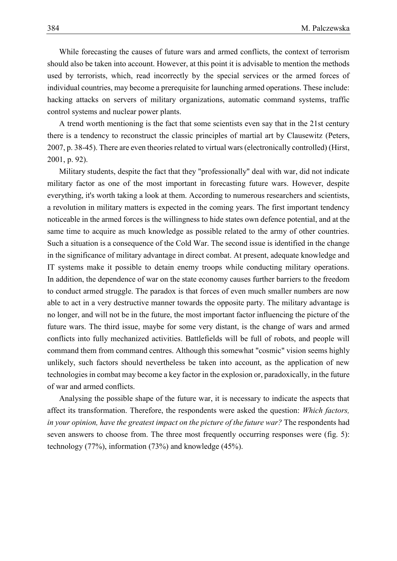1 While forecasting the causes of future wars and armed conflicts, the context of terrorism 2 should also be taken into account. However, at this point it is advisable to mention the methods used by terrorists, which, read incorrectly by the special services or the armed forces of individual countries, may become a prerequisite for launching armed operations. These include: hacking attacks on servers of military organizations, automatic command systems, traffic control systems and nuclear power plants.

 A trend worth mentioning is the fact that some scientists even say that in the 21st century there is a tendency to reconstruct the classic principles of martial art by Clausewitz (Peters, 2007, p. 38-45). There are even theories related to virtual wars (electronically controlled) (Hirst, 2001, p. 92).

11 Military students, despite the fact that they "professionally" deal with war, did not indicate military factor as one of the most important in forecasting future wars. However, despite 13 everything, it's worth taking a look at them. According to numerous researchers and scientists, a revolution in military matters is expected in the coming years. The first important tendency noticeable in the armed forces is the willingness to hide states own defence potential, and at the same time to acquire as much knowledge as possible related to the army of other countries. Such a situation is a consequence of the Cold War. The second issue is identified in the change in the significance of military advantage in direct combat. At present, adequate knowledge and 19 IT systems make it possible to detain enemy troops while conducting military operations. In addition, the dependence of war on the state economy causes further barriers to the freedom 21 to conduct armed struggle. The paradox is that forces of even much smaller numbers are now able to act in a very destructive manner towards the opposite party. The military advantage is no longer, and will not be in the future, the most important factor influencing the picture of the future wars. The third issue, maybe for some very distant, is the change of wars and armed 25 conflicts into fully mechanized activities. Battlefields will be full of robots, and people will command them from command centres. Although this somewhat "cosmic" vision seems highly 27 unlikely, such factors should nevertheless be taken into account, as the application of new technologies in combat may become a key factor in the explosion or, paradoxically, in the future of war and armed conflicts.

Analysing the possible shape of the future war, it is necessary to indicate the aspects that 31 affect its transformation. Therefore, the respondents were asked the question: *Which factors,*  in your opinion, have the greatest impact on the picture of the future war? The respondents had seven answers to choose from. The three most frequently occurring responses were (fig. 5): technology (77%), information (73%) and knowledge  $(45%)$ .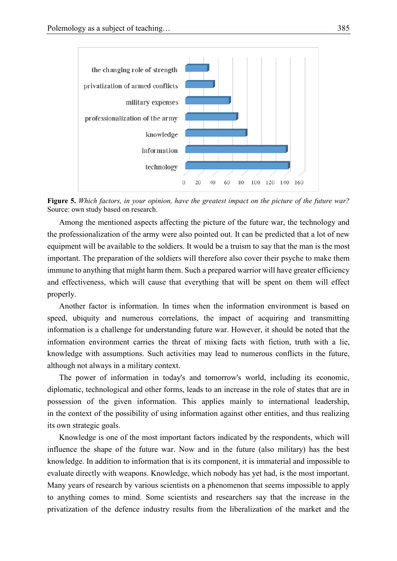

2 **Figure 5.** *Which factors, in your opinion, have the greatest impact on the picture of the future war?* Source: own study based on research.

4 Among the mentioned aspects affecting the picture of the future war, the technology and 5 the professionalization of the army were also pointed out. It can be predicted that a lot of new equipment will be available to the soldiers. It would be a truism to say that the man is the most important. The preparation of the soldiers will therefore also cover their psyche to make them immune to anything that might harm them. Such a prepared warrior will have greater efficiency and effectiveness, which will cause that everything that will be spent on them will effect properly.

Another factor is information. In times when the information environment is based on speed, ubiquity and numerous correlations, the impact of acquiring and transmitting information is a challenge for understanding future war. However, it should be noted that the information environment carries the threat of mixing facts with fiction, truth with a lie, 15 knowledge with assumptions. Such activities may lead to numerous conflicts in the future, although not always in a military context.

17 The power of information in today's and tomorrow's world, including its economic, diplomatic, technological and other forms, leads to an increase in the role of states that are in 19 possession of the given information. This applies mainly to international leadership, in the context of the possibility of using information against other entities, and thus realizing its own strategic goals.

 Knowledge is one of the most important factors indicated by the respondents, which will influence the shape of the future war. Now and in the future (also military) has the best knowledge. In addition to information that is its component, it is immaterial and impossible to evaluate directly with weapons. Knowledge, which nobody has yet had, is the most important. Many years of research by various scientists on a phenomenon that seems impossible to apply to anything comes to mind. Some scientists and researchers say that the increase in the privatization of the defence industry results from the liberalization of the market and the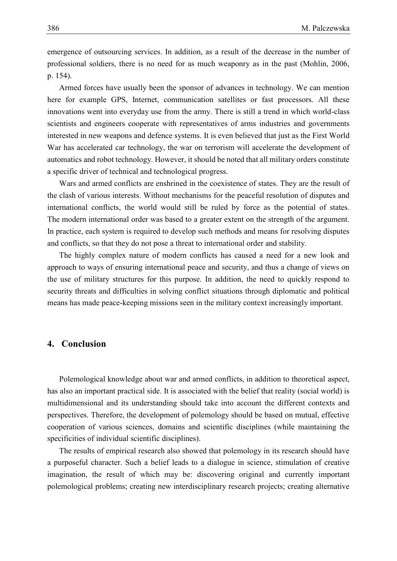emergence of outsourcing services. In addition, as a result of the decrease in the number of 2 professional soldiers, there is no need for as much weaponry as in the past (Mohlin, 2006,  $p. 154$ .

> Armed forces have usually been the sponsor of advances in technology. We can mention 5 here for example GPS, Internet, communication satellites or fast processors. All these innovations went into everyday use from the army. There is still a trend in which world-class scientists and engineers cooperate with representatives of arms industries and governments 8 interested in new weapons and defence systems. It is even believed that just as the First World War has accelerated car technology, the war on terrorism will accelerate the development of automatics and robot technology. However, it should be noted that all military orders constitute a specific driver of technical and technological progress.

> Wars and armed conflicts are enshrined in the coexistence of states. They are the result of 13 the clash of various interests. Without mechanisms for the peaceful resolution of disputes and international conflicts, the world would still be ruled by force as the potential of states. The modern international order was based to a greater extent on the strength of the argument. 16 In practice, each system is required to develop such methods and means for resolving disputes 17 and conflicts, so that they do not pose a threat to international order and stability.

> The highly complex nature of modern conflicts has caused a need for a new look and 19 approach to ways of ensuring international peace and security, and thus a change of views on 20 the use of military structures for this purpose. In addition, the need to quickly respond to 21 security threats and difficulties in solving conflict situations through diplomatic and political means has made peace-keeping missions seen in the military context increasingly important.

# 23 **4. Conclusion**

24 Polemological knowledge about war and armed conflicts, in addition to theoretical aspect, has also an important practical side. It is associated with the belief that reality (social world) is 26 multidimensional and its understanding should take into account the different contexts and perspectives. Therefore, the development of polemology should be based on mutual, effective 28 cooperation of various sciences, domains and scientific disciplines (while maintaining the specificities of individual scientific disciplines).

The results of empirical research also showed that polemology in its research should have a purposeful character. Such a belief leads to a dialogue in science, stimulation of creative imagination, the result of which may be: discovering original and currently important polemological problems; creating new interdisciplinary research projects; creating alternative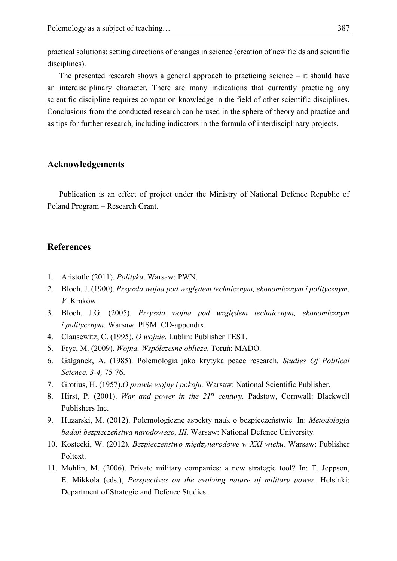practical solutions; setting directions of changes in science (creation of new fields and scientific disciplines).

The presented research shows a general approach to practicing science  $-$  it should have an interdisciplinary character. There are many indications that currently practicing any scientific discipline requires companion knowledge in the field of other scientific disciplines. 6 Conclusions from the conducted research can be used in the sphere of theory and practice and as tips for further research, including indicators in the formula of interdisciplinary projects.

### 8 **Acknowledgements**

Publication is an effect of project under the Ministry of National Defence Republic of Poland Program – Research Grant.

## 11 **References**

- 12 1. Aristotle (2011). *Polityka*. Warsaw: PWN.
- 13 2. Bloch, J. (1900). *Przyszła wojna pod względem technicznym, ekonomicznym i politycznym,* 14 *V.* Kraków.
- 15 3. Bloch, J.G. (2005). *Przyszła wojna pod względem technicznym, ekonomicznym i politycznym*. Warsaw: PISM. CD-appendix.
- 17 4. Clausewitz, C. (1995). *O wojnie*. Lublin: Publisher TEST.
- 18 5. Fryc, M. (2009). *Wojna. Współczesne oblicze*. Toruń: MADO.
- 19 6. Gałganek, A. (1985). Polemologia jako krytyka peace research*. Studies Of Political*  20 *Science, 3-4,* 75-76.
- 21 7. Grotius, H. (1957).*O prawie wojny i pokoju.* Warsaw: National Scientific Publisher.
- 8. Hirst, P. (2001). *War and power in the 21<sup>st</sup> century*. Padstow, Cornwall: Blackwell Publishers Inc.
- 24 9. Huzarski, M. (2012). Polemologiczne aspekty nauk o bezpieczeństwie*.* In: *Metodologia*  25 *badań bezpieczeństwa narodowego, III.* Warsaw: National Defence University.
- 26 10. Kostecki, W. (2012). *Bezpieczeństwo międzynarodowe w XXI wieku.* Warsaw: Publisher Poltext.
	- 28 11. Mohlin, M. (2006). Private military companies: a new strategic tool? In: T. Jeppson, 29 E. Mikkola (eds.), *Perspectives on the evolving nature of military power.* Helsinki: Department of Strategic and Defence Studies.